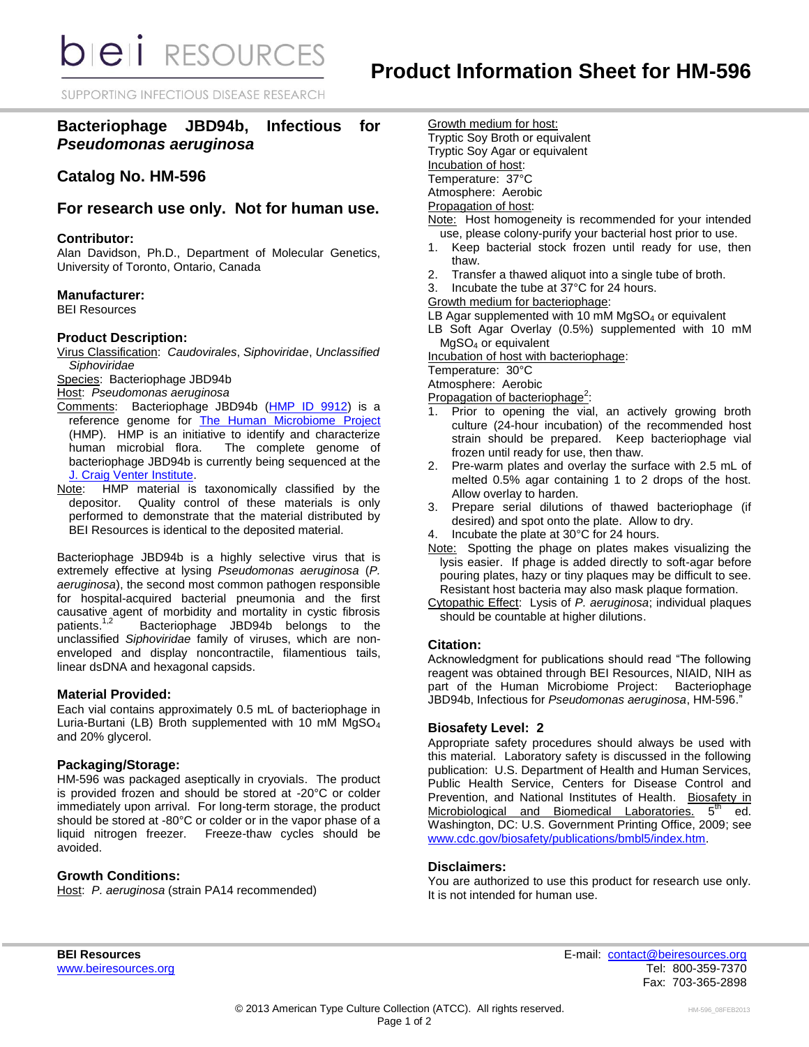**bieli** RESOURCES

SUPPORTING INFECTIOUS DISEASE RESEARCH

# **Bacteriophage JBD94b, Infectious for**  *Pseudomonas aeruginosa*

# **Catalog No. HM-596**

## **For research use only. Not for human use.**

#### **Contributor:**

Alan Davidson, Ph.D., Department of Molecular Genetics, University of Toronto, Ontario, Canada

#### **Manufacturer:**

BEI Resources

#### **Product Description:**

Virus Classification: *Caudovirales*, *Siphoviridae*, *Unclassified Siphoviridae*

Species: Bacteriophage JBD94b

Host: *Pseudomonas aeruginosa*

- Comments: Bacteriophage JBD94b [\(HMP ID 9912\)](http://www.hmpdacc-resources.org/cgi-bin/hmp_catalog/main.cgi?section=HmpSummary&page=displayHmpProject&hmp_id=9912) is a reference genome for [The Human Microbiome Project](http://nihroadmap.nih.gov/hmp/) (HMP). HMP is an initiative to identify and characterize human microbial flora. The complete genome of bacteriophage JBD94b is currently being sequenced at the [J. Craig Venter Institute.](http://www.jcvi.org/)
- Note: HMP material is taxonomically classified by the depositor. Quality control of these materials is only performed to demonstrate that the material distributed by BEI Resources is identical to the deposited material.

Bacteriophage JBD94b is a highly selective virus that is extremely effective at lysing *Pseudomonas aeruginosa* (*P. aeruginosa*), the second most common pathogen responsible for hospital-acquired bacterial pneumonia and the first causative agent of morbidity and mortality in cystic fibrosis patients.<sup>1,2</sup> Bacteriophage JBD94b belongs to the unclassified *Siphoviridae* family of viruses, which are nonenveloped and display noncontractile, filamentious tails, linear dsDNA and hexagonal capsids.

### **Material Provided:**

Each vial contains approximately 0.5 mL of bacteriophage in Luria-Burtani (LB) Broth supplemented with 10 mM MgSO<sup>4</sup> and 20% glycerol.

### **Packaging/Storage:**

HM-596 was packaged aseptically in cryovials. The product is provided frozen and should be stored at -20°C or colder immediately upon arrival. For long-term storage, the product should be stored at -80°C or colder or in the vapor phase of a liquid nitrogen freezer. Freeze-thaw cycles should be avoided.

### **Growth Conditions:**

Host: *P. aeruginosa* (strain PA14 recommended)

Growth medium for host: Tryptic Soy Broth or equivalent Tryptic Soy Agar or equivalent Incubation of host: Temperature: 37°C Atmosphere: Aerobic

### Propagation of host:

- Note: Host homogeneity is recommended for your intended use, please colony-purify your bacterial host prior to use.
- 1. Keep bacterial stock frozen until ready for use, then thaw.
- 2. Transfer a thawed aliquot into a single tube of broth.
- 3. Incubate the tube at 37°C for 24 hours.
- Growth medium for bacteriophage:
- LB Agar supplemented with 10 mM  $MgSO<sub>4</sub>$  or equivalent
- LB Soft Agar Overlay (0.5%) supplemented with 10 mM MgSO<sup>4</sup> or equivalent

Incubation of host with bacteriophage:

Temperature: 30°C

Atmosphere: Aerobic

- Propagation of bacteriophage<sup>2</sup>:
- 1. Prior to opening the vial, an actively growing broth culture (24-hour incubation) of the recommended host strain should be prepared. Keep bacteriophage vial frozen until ready for use, then thaw.
- 2. Pre-warm plates and overlay the surface with 2.5 mL of melted 0.5% agar containing 1 to 2 drops of the host. Allow overlay to harden.
- 3. Prepare serial dilutions of thawed bacteriophage (if desired) and spot onto the plate. Allow to dry.
- Incubate the plate at 30°C for 24 hours.
- Note: Spotting the phage on plates makes visualizing the lysis easier. If phage is added directly to soft-agar before pouring plates, hazy or tiny plaques may be difficult to see. Resistant host bacteria may also mask plaque formation.
- Cytopathic Effect: Lysis of *P. aeruginosa*; individual plaques should be countable at higher dilutions.

### **Citation:**

Acknowledgment for publications should read "The following reagent was obtained through BEI Resources, NIAID, NIH as part of the Human Microbiome Project: Bacteriophage JBD94b, Infectious for *Pseudomonas aeruginosa*, HM-596."

### **Biosafety Level: 2**

Appropriate safety procedures should always be used with this material. Laboratory safety is discussed in the following publication: U.S. Department of Health and Human Services, Public Health Service, Centers for Disease Control and Prevention, and National Institutes of Health. Biosafety in Microbiological and Biomedical Laboratories. 5<sup>th</sup> ed. Washington, DC: U.S. Government Printing Office, 2009; see [www.cdc.gov/biosafety/publications/bmbl5/index.htm.](http://www.cdc.gov/biosafety/publications/bmbl5/index.htm)

### **Disclaimers:**

You are authorized to use this product for research use only. It is not intended for human use.

**BEI Resources** E-mail: [contact@beiresources.org](mailto:contact@beiresources.org) Fax: 703-365-2898